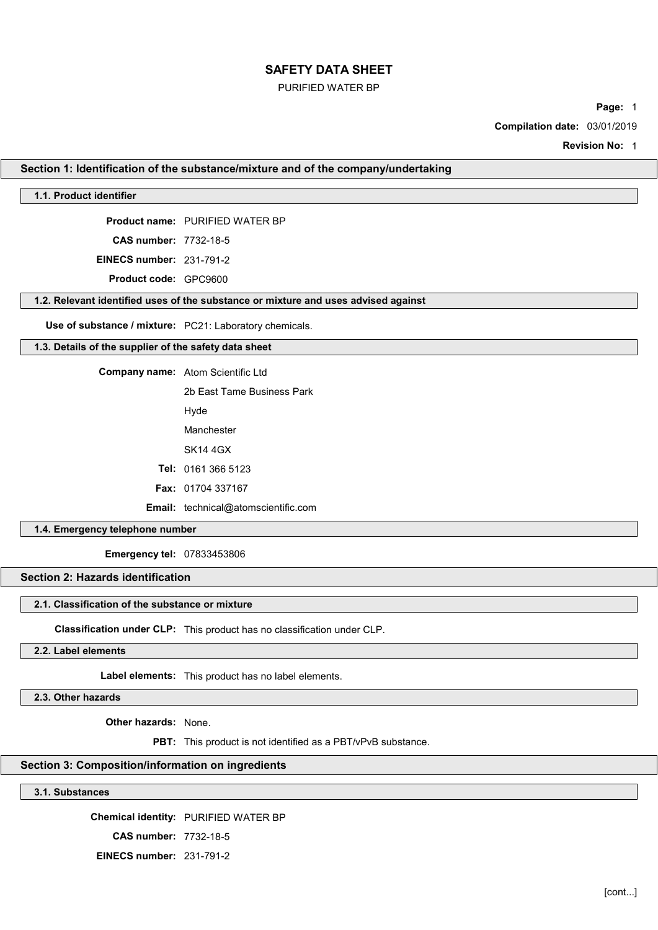## PURIFIED WATER BP

Page: 1

Compilation date: 03/01/2019

Revision No: 1

### Section 1: Identification of the substance/mixture and of the company/undertaking

## 1.1. Product identifier

Product name: PURIFIED WATER BP

CAS number: 7732-18-5

EINECS number: 231-791-2

Product code: GPC9600

#### 1.2. Relevant identified uses of the substance or mixture and uses advised against

Use of substance / mixture: PC21: Laboratory chemicals.

## 1.3. Details of the supplier of the safety data sheet

Company name: Atom Scientific Ltd

2b East Tame Business Park

Hyde

Manchester

SK14 4GX

Tel: 0161 366 5123

Fax: 01704 337167

Email: technical@atomscientific.com

### 1.4. Emergency telephone number

Emergency tel: 07833453806

# Section 2: Hazards identification

### 2.1. Classification of the substance or mixture

Classification under CLP: This product has no classification under CLP.

## 2.2. Label elements

Label elements: This product has no label elements.

2.3. Other hazards

Other hazards: None.

PBT: This product is not identified as a PBT/vPvB substance.

## Section 3: Composition/information on ingredients

3.1. Substances

Chemical identity: PURIFIED WATER BP CAS number: 7732-18-5 EINECS number: 231-791-2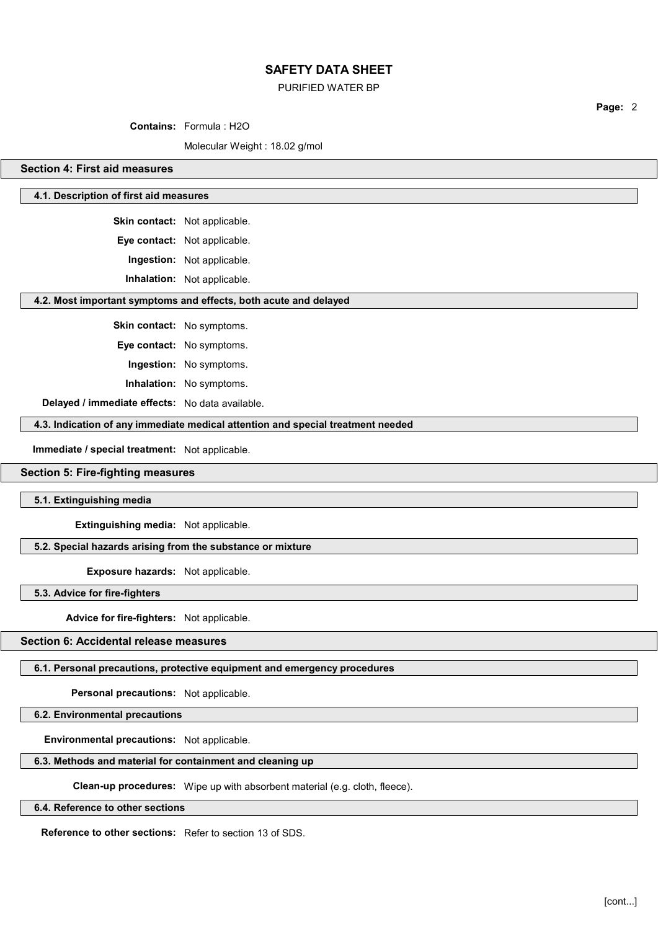## PURIFIED WATER BP

Contains: Formula : H2O

Molecular Weight : 18.02 g/mol

## Section 4: First aid measures

## 4.1. Description of first aid measures

Skin contact: Not applicable.

Eye contact: Not applicable.

Ingestion: Not applicable.

Inhalation: Not applicable.

### 4.2. Most important symptoms and effects, both acute and delayed

Skin contact: No symptoms.

Eye contact: No symptoms.

Ingestion: No symptoms.

Inhalation: No symptoms.

Delayed / immediate effects: No data available.

4.3. Indication of any immediate medical attention and special treatment needed

Immediate / special treatment: Not applicable.

## Section 5: Fire-fighting measures

5.1. Extinguishing media

Extinguishing media: Not applicable.

## 5.2. Special hazards arising from the substance or mixture

Exposure hazards: Not applicable.

5.3. Advice for fire-fighters

Advice for fire-fighters: Not applicable.

## Section 6: Accidental release measures

### 6.1. Personal precautions, protective equipment and emergency procedures

Personal precautions: Not applicable.

6.2. Environmental precautions

Environmental precautions: Not applicable.

## 6.3. Methods and material for containment and cleaning up

Clean-up procedures: Wipe up with absorbent material (e.g. cloth, fleece).

#### 6.4. Reference to other sections

Reference to other sections: Refer to section 13 of SDS.

Page: 2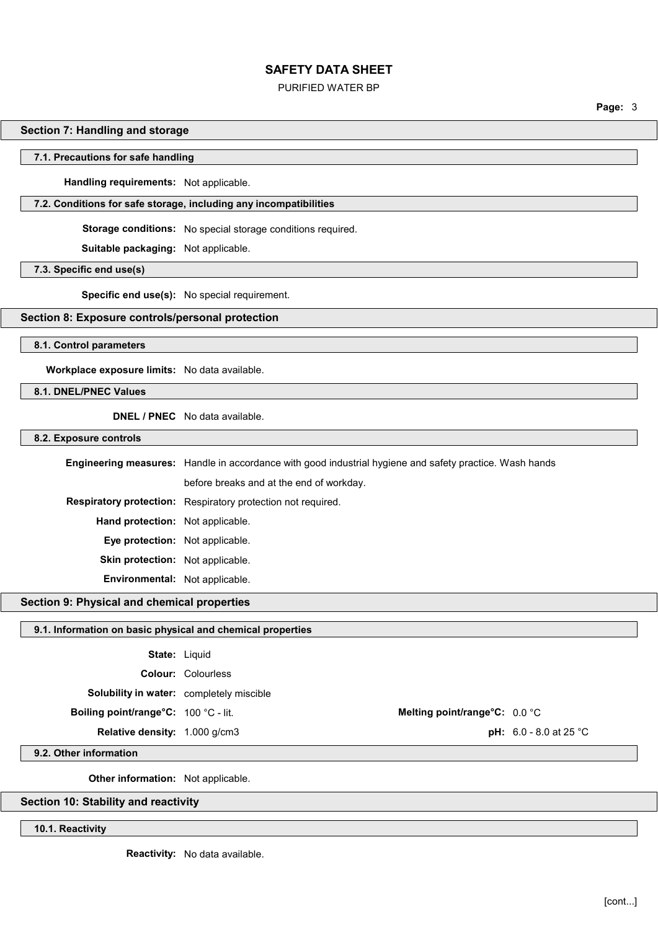## PURIFIED WATER BP

Page: 3

## Section 7: Handling and storage

#### 7.1. Precautions for safe handling

Handling requirements: Not applicable.

## 7.2. Conditions for safe storage, including any incompatibilities

Storage conditions: No special storage conditions required.

Suitable packaging: Not applicable.

#### 7.3. Specific end use(s)

Specific end use(s): No special requirement.

## Section 8: Exposure controls/personal protection

8.1. Control parameters

Workplace exposure limits: No data available.

## 8.1. DNEL/PNEC Values

DNEL / PNEC No data available.

#### 8.2. Exposure controls

Engineering measures: Handle in accordance with good industrial hygiene and safety practice. Wash hands before breaks and at the end of workday. Respiratory protection: Respiratory protection not required. Hand protection: Not applicable. Eye protection: Not applicable. Skin protection: Not applicable. Environmental: Not applicable.

# Section 9: Physical and chemical properties

#### 9.1. Information on basic physical and chemical properties

| <b>State: Liquid</b>                            |                           |                               |            |
|-------------------------------------------------|---------------------------|-------------------------------|------------|
|                                                 | <b>Colour: Colourless</b> |                               |            |
| <b>Solubility in water:</b> completely miscible |                           |                               |            |
| <b>Boiling point/range°C:</b> 100 °C - lit.     |                           | Melting point/range°C: 0.0 °C |            |
| <b>Relative density:</b> 1,000 g/cm3            |                           |                               | $nH: 60-8$ |

**pH:**  $6.0 - 8.0$  at 25 °C

9.2. Other information

Other information: Not applicable.

### Section 10: Stability and reactivity

10.1. Reactivity

Reactivity: No data available.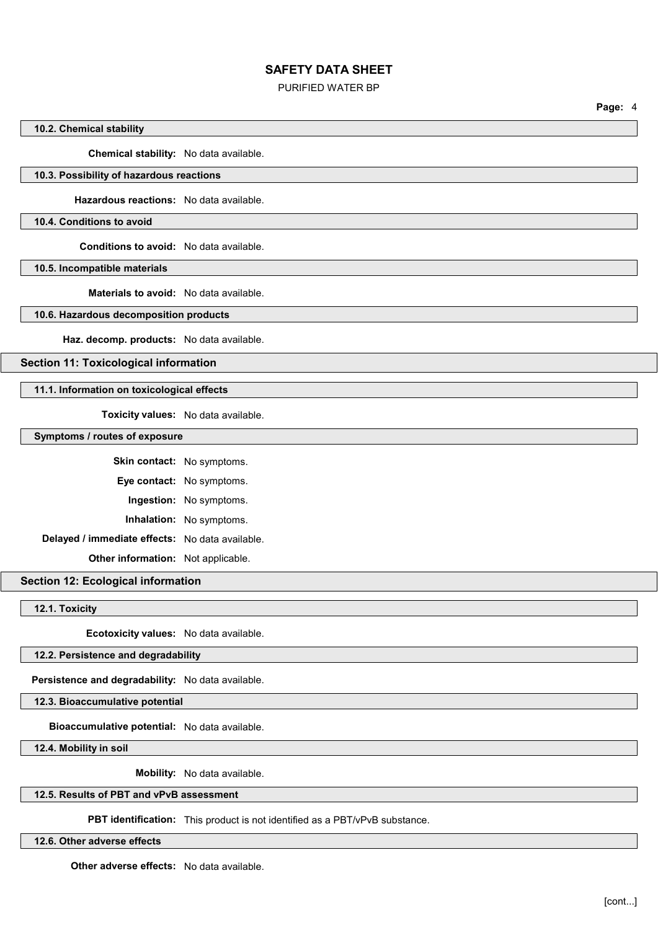## PURIFIED WATER BP

Page: 4

## 10.2. Chemical stability

Chemical stability: No data available.

# 10.3. Possibility of hazardous reactions

Hazardous reactions: No data available.

## 10.4. Conditions to avoid

Conditions to avoid: No data available.

10.5. Incompatible materials

Materials to avoid: No data available.

## 10.6. Hazardous decomposition products

Haz. decomp. products: No data available.

Section 11: Toxicological information

## 11.1. Information on toxicological effects

Toxicity values: No data available.

### Symptoms / routes of exposure

|                                                 | <b>Skin contact:</b> No symptoms. |
|-------------------------------------------------|-----------------------------------|
|                                                 | <b>Eye contact:</b> No symptoms.  |
|                                                 | <b>Ingestion:</b> No symptoms.    |
|                                                 | Inhalation: No symptoms.          |
| Delayed / immediate effects: No data available. |                                   |
| <b>Other information:</b> Not applicable.       |                                   |

## Section 12: Ecological information

12.1. Toxicity

Ecotoxicity values: No data available.

## 12.2. Persistence and degradability

Persistence and degradability: No data available.

12.3. Bioaccumulative potential

Bioaccumulative potential: No data available.

12.4. Mobility in soil

Mobility: No data available.

# 12.5. Results of PBT and vPvB assessment

PBT identification: This product is not identified as a PBT/vPvB substance.

12.6. Other adverse effects

Other adverse effects: No data available.